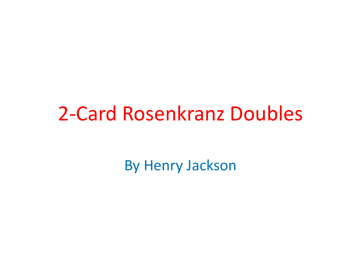#### 2-Card Rosenkranz Doubles

By Henry Jackson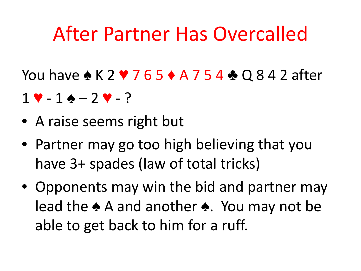### After Partner Has Overcalled

You have ◆ K 2 ♥ 7 6 5 ◆ A 7 5 4 ◆ Q 8 4 2 after

- $1 \vee 1 \wedge 2 \vee ?$
- A raise seems right but
- Partner may go too high believing that you have 3+ spades (law of total tricks)
- Opponents may win the bid and partner may lead the ♠ A and another ♠. You may not be able to get back to him for a ruff.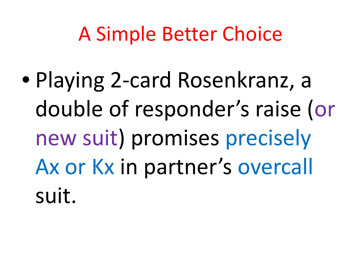## A Simple Better Choice

• Playing 2-card Rosenkranz, a double of responder's raise (or new suit) promises precisely Ax or Kx in partner's overcall suit.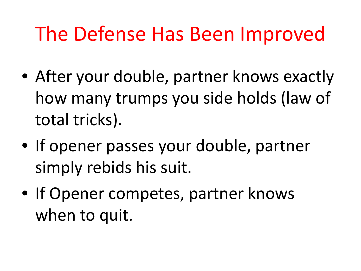# The Defense Has Been Improved

- After your double, partner knows exactly how many trumps you side holds (law of total tricks).
- If opener passes your double, partner simply rebids his suit.
- If Opener competes, partner knows when to quit.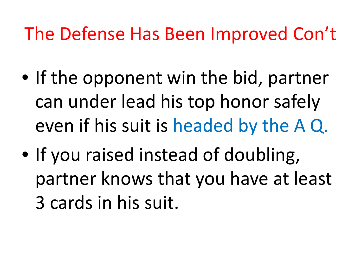#### The Defense Has Been Improved Con't

- If the opponent win the bid, partner can under lead his top honor safely even if his suit is headed by the A Q.
- If you raised instead of doubling, partner knows that you have at least 3 cards in his suit.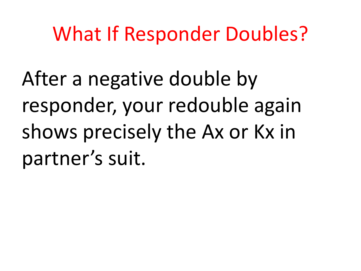## What If Responder Doubles?

After a negative double by responder, your redouble again shows precisely the Ax or Kx in partner's suit.